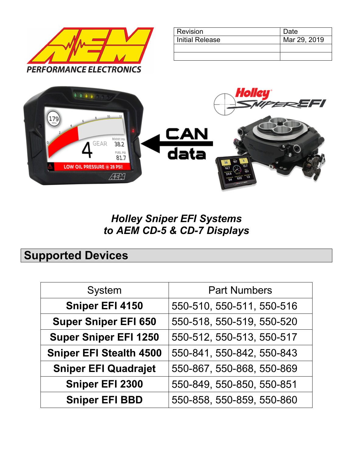

| Revision               | Date         |
|------------------------|--------------|
| <b>Initial Release</b> | Mar 29, 2019 |
|                        |              |
|                        |              |



#### *Holley Sniper EFI Systems to AEM CD-5 & CD-7 Displays*

# **Supported Devices**

| <b>System</b>                  | <b>Part Numbers</b>       |
|--------------------------------|---------------------------|
| <b>Sniper EFI 4150</b>         | 550-510, 550-511, 550-516 |
| <b>Super Sniper EFI 650</b>    | 550-518, 550-519, 550-520 |
| <b>Super Sniper EFI 1250</b>   | 550-512, 550-513, 550-517 |
| <b>Sniper EFI Stealth 4500</b> | 550-841, 550-842, 550-843 |
| <b>Sniper EFI Quadrajet</b>    | 550-867, 550-868, 550-869 |
| <b>Sniper EFI 2300</b>         | 550-849, 550-850, 550-851 |
| <b>Sniper EFI BBD</b>          | 550-858, 550-859, 550-860 |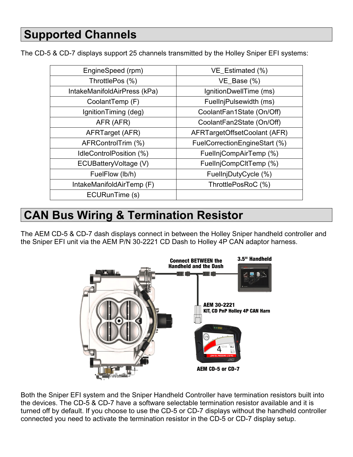The CD-5 & CD-7 displays support 25 channels transmitted by the Holley Sniper EFI systems:

| EngineSpeed (rpm)            | VE_Estimated (%)              |
|------------------------------|-------------------------------|
| ThrottlePos (%)              | $VE_Base$ (%)                 |
| IntakeManifoldAirPress (kPa) | IgnitionDwellTime (ms)        |
| CoolantTemp (F)              | FuellnjPulsewidth (ms)        |
| IgnitionTiming (deg)         | CoolantFan1State (On/Off)     |
| AFR (AFR)                    | CoolantFan2State (On/Off)     |
| AFRTarget (AFR)              | AFRTargetOffsetCoolant (AFR)  |
| AFRControlTrim (%)           | FuelCorrectionEngineStart (%) |
| IdleControlPosition (%)      | FuelInjCompAirTemp (%)        |
| ECUBatteryVoltage (V)        | FuellnjCompCltTemp (%)        |
| FuelFlow (lb/h)              | FuellnjDutyCycle (%)          |
| IntakeManifoldAirTemp (F)    | ThrottlePosRoC (%)            |
| ECURunTime (s)               |                               |

# **CAN Bus Wiring & Termination Resistor**

The AEM CD-5 & CD-7 dash displays connect in between the Holley Sniper handheld controller and the Sniper EFI unit via the AEM P/N 30-2221 CD Dash to Holley 4P CAN adaptor harness.



Both the Sniper EFI system and the Sniper Handheld Controller have termination resistors built into the devices. The CD-5 & CD-7 have a software selectable termination resistor available and it is turned off by default. If you choose to use the CD-5 or CD-7 displays without the handheld controller connected you need to activate the termination resistor in the CD-5 or CD-7 display setup.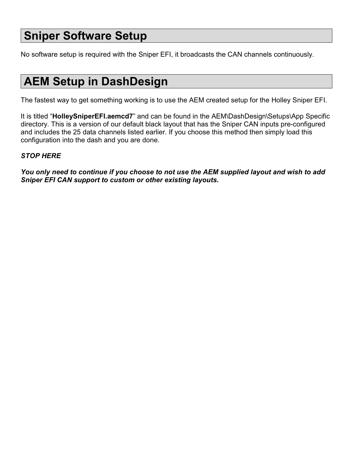## **Sniper Software Setup**

No software setup is required with the Sniper EFI, it broadcasts the CAN channels continuously.

# **AEM Setup in DashDesign**

The fastest way to get something working is to use the AEM created setup for the Holley Sniper EFI.

It is titled "**HolleySniperEFI.aemcd7**" and can be found in the AEM\DashDesign\Setups\App Specific directory. This is a version of our default black layout that has the Sniper CAN inputs pre-configured and includes the 25 data channels listed earlier. If you choose this method then simply load this configuration into the dash and you are done.

#### *STOP HERE*

*You only need to continue if you choose to not use the AEM supplied layout and wish to add Sniper EFI CAN support to custom or other existing layouts.*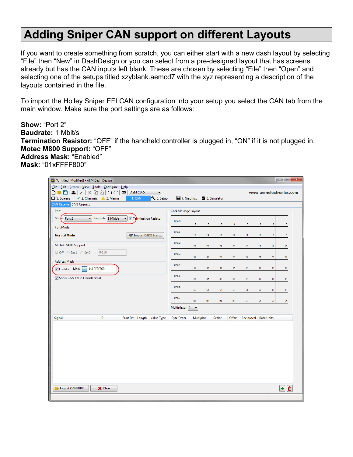### **Adding Sniper CAN support on different Layouts**

If you want to create something from scratch, you can either start with a new dash layout by selecting "File" then "New" in DashDesign or you can select from a pre-designed layout that has screens already but has the CAN inputs left blank. These are chosen by selecting "File" then "Open" and selecting one of the setups titled xzyblank.aemcd7 with the xyz representing a description of the layouts contained in the file.

To import the Holley Sniper EFI CAN configuration into your setup you select the CAN tab from the main window. Make sure the port settings are as follows:

**Show:** "Port 2" **Baudrate:** 1 Mbit/s **Termination Resistor:** "OFF" if the handheld controller is plugged in, "ON" if it is not plugged in. **Motec M800 Support:** "OFF" **Address Mask:** "Enabled" **Mask:** "01xFFFF800"

| *Untitled [Modified] - AEM Dash Design                                                                                                                                                                                                                   |                   |                            |           |               |    |                              |                  |    | $\begin{array}{c c c c c c} \hline \multicolumn{3}{c }{\mathbf{0}} & \multicolumn{3}{c }{\mathbf{0}} \end{array}$ | $\mathbf{x}$ |
|----------------------------------------------------------------------------------------------------------------------------------------------------------------------------------------------------------------------------------------------------------|-------------------|----------------------------|-----------|---------------|----|------------------------------|------------------|----|-------------------------------------------------------------------------------------------------------------------|--------------|
| File Edit Screen View Tools Configure Help<br>▲ 2   2   3 1 1 1 1 1 1 1 1 1 1<br>$\overline{\phantom{a}}$<br>AEM CD-5<br>$D = 2$<br>$\blacktriangledown$<br>6: Setup<br>$\sim$ 2: Channels $\triangle$ 3: Alarms<br><b>A</b> 4: CAN<br>$\Box$ 1: Screens |                   | 7: Graphics 2 8: Simulator |           |               |    |                              |                  |    | www.aemelectronics.com                                                                                            |              |
| <b>CAN Receive CAN Request</b>                                                                                                                                                                                                                           |                   |                            |           |               |    |                              |                  |    |                                                                                                                   |              |
| Port                                                                                                                                                                                                                                                     |                   | CAN Message Layout         |           |               |    |                              |                  |    |                                                                                                                   |              |
| Baudrate 1 Mbit/s<br>Show Port 2<br>Termination Resistor<br>$\overline{\phantom{a}}$<br>$\blacktriangledown$                                                                                                                                             | Byte 0            | 7                          | 6         | 5             | 4  | 3                            | $\boldsymbol{2}$ | 1  | $\circ$                                                                                                           |              |
| Port Mode<br><b>Normal Mode</b><br>무 Import OBDII Scan                                                                                                                                                                                                   | Byte 1            | 15                         | 14        | 13            | 12 | $11\,$                       | 10               | 9  | 8                                                                                                                 |              |
| MoTeC M800 Support                                                                                                                                                                                                                                       | Byte 2            | 23                         | 22        | 21            | 20 | 19                           | 18               | 17 | 16                                                                                                                |              |
| ◎ Off © Set 1 © Set 3 ID 0x100                                                                                                                                                                                                                           | Byte 3            | 31                         | 30        | 29            | 28 | 27                           | 26               | 25 | 24                                                                                                                |              |
| <b>Address Mask</b><br>Dabled Mask ext 0x1FFFF800                                                                                                                                                                                                        | Byte 4            | 39                         | 38        | 37            | 36 | 35                           | 34               | 33 | 32                                                                                                                |              |
| Show CAN IDs in Hexadecimal                                                                                                                                                                                                                              | Byte 5            | 47                         | 46        | 45            | 44 | 43                           | 42               | 41 | 40                                                                                                                |              |
|                                                                                                                                                                                                                                                          | Byte 6            | 55                         | 54        | 53            | 52 | 51                           | 50               | 49 | 48                                                                                                                |              |
|                                                                                                                                                                                                                                                          | Byte 7            | 63                         | 62        | 61            | 60 | 59                           | 58               | 57 | 56                                                                                                                |              |
|                                                                                                                                                                                                                                                          | Multiplexor 0     | $\overline{\phantom{a}}$   |           |               |    |                              |                  |    |                                                                                                                   |              |
| Signal<br>ID<br>Start Bit Length Value Type                                                                                                                                                                                                              | <b>Byte Order</b> |                            | Multiplex | <b>Scalar</b> |    | Offset Reciprocal Base Units |                  |    |                                                                                                                   |              |
|                                                                                                                                                                                                                                                          |                   |                            |           |               |    |                              |                  |    |                                                                                                                   |              |
| Import CAN/DBC<br>X Clear                                                                                                                                                                                                                                |                   |                            |           |               |    |                              |                  |    | 崮<br>٠                                                                                                            |              |
|                                                                                                                                                                                                                                                          |                   |                            |           |               |    |                              |                  |    |                                                                                                                   |              |